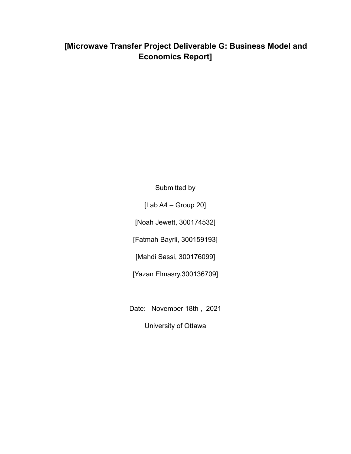# **[Microwave Transfer Project Deliverable G: Business Model and Economics Report]**

Submitted by

[Lab A4 – Group 20]

[Noah Jewett, 300174532]

[Fatmah Bayrli, 300159193]

[Mahdi Sassi, 300176099]

[Yazan Elmasry,300136709]

Date: November 18th , 2021

University of Ottawa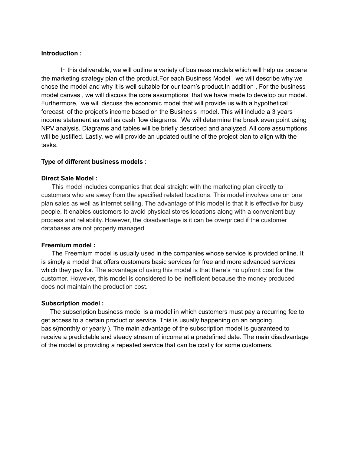## **Introduction :**

In this deliverable, we will outline a variety of business models which will help us prepare the marketing strategy plan of the product.For each Business Model , we will describe why we chose the model and why it is well suitable for our team's product.In addition , For the business model canvas , we will discuss the core assumptions that we have made to develop our model. Furthermore, we will discuss the economic model that will provide us with a hypothetical forecast of the project's income based on the Busines's model. This will include a 3 years income statement as well as cash flow diagrams. We will determine the break even point using NPV analysis. Diagrams and tables will be briefly described and analyzed. All core assumptions will be justified. Lastly, we will provide an updated outline of the project plan to align with the tasks.

### **Type of different business models :**

### **Direct Sale Model :**

This model includes companies that deal straight with the marketing plan directly to customers who are away from the specified related locations. This model involves one on one plan sales as well as internet selling. The advantage of this model is that it is effective for busy people. It enables customers to avoid physical stores locations along with a convenient buy process and reliability. However, the disadvantage is it can be overpriced if the customer databases are not properly managed.

#### **Freemium model :**

The Freemium model is usually used in the companies whose service is provided online. It is simply a model that offers customers basic services for free and more advanced services which they pay for. The advantage of using this model is that there's no upfront cost for the customer. However, this model is considered to be inefficient because the money produced does not maintain the production cost.

#### **Subscription model :**

The subscription business model is a model in which customers must pay a recurring fee to get access to a certain product or service. This is usually happening on an ongoing basis(monthly or yearly ). The main advantage of the subscription model is guaranteed to receive a predictable and steady stream of income at a predefined date. The main disadvantage of the model is providing a repeated service that can be costly for some customers.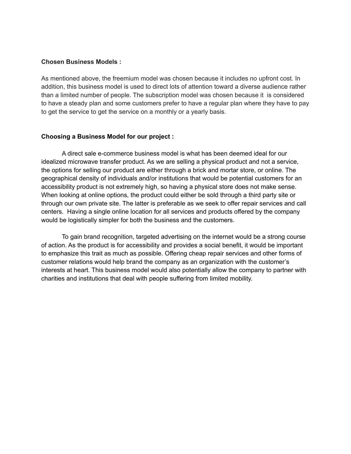### **Chosen Business Models :**

As mentioned above, the freemium model was chosen because it includes no upfront cost. In addition, this business model is used to direct lots of attention toward a diverse audience rather than a limited number of people. The subscription model was chosen because it is considered to have a steady plan and some customers prefer to have a regular plan where they have to pay to get the service to get the service on a monthly or a yearly basis.

### **Choosing a Business Model for our project :**

A direct sale e-commerce business model is what has been deemed ideal for our idealized microwave transfer product. As we are selling a physical product and not a service, the options for selling our product are either through a brick and mortar store, or online. The geographical density of individuals and/or institutions that would be potential customers for an accessibility product is not extremely high, so having a physical store does not make sense. When looking at online options, the product could either be sold through a third party site or through our own private site. The latter is preferable as we seek to offer repair services and call centers. Having a single online location for all services and products offered by the company would be logistically simpler for both the business and the customers.

To gain brand recognition, targeted advertising on the internet would be a strong course of action. As the product is for accessibility and provides a social benefit, it would be important to emphasize this trait as much as possible. Offering cheap repair services and other forms of customer relations would help brand the company as an organization with the customer's interests at heart. This business model would also potentially allow the company to partner with charities and institutions that deal with people suffering from limited mobility.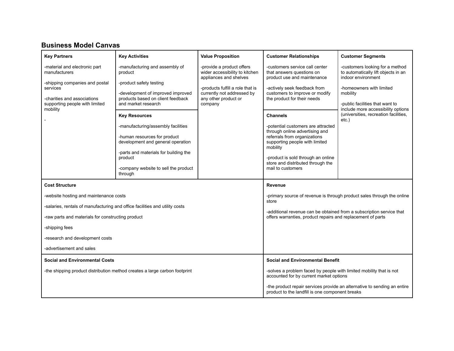# **Business Model Canvas**

| <b>Key Partners</b>                                                         | <b>Key Activities</b>                                                      | <b>Value Proposition</b>                                                              | <b>Customer Relationships</b>                                                                                  | <b>Customer Segments</b>                                                                     |
|-----------------------------------------------------------------------------|----------------------------------------------------------------------------|---------------------------------------------------------------------------------------|----------------------------------------------------------------------------------------------------------------|----------------------------------------------------------------------------------------------|
| -material and electronic part<br>manufacturers                              | -manufacturing and assembly of<br>product                                  | -provide a product offers<br>wider accessibility to kitchen<br>appliances and shelves | -customers service call center<br>that answers questions on<br>product use and maintenance                     | -customers looking for a method<br>to automatically lift objects in an<br>indoor environment |
| -shipping companies and postal<br>services                                  | -product safety testing<br>-development of improved improved               | -products fulfill a role that is<br>currently not addressed by                        | -actively seek feedback from<br>customers to improve or modify                                                 | -homeowners with limited<br>mobility                                                         |
| -charities and associations<br>supporting people with limited<br>mobility   | products based on client feedback<br>and market research                   | any other product or<br>company                                                       | the product for their needs                                                                                    | -public facilities that want to<br>include more accessibility options                        |
|                                                                             | <b>Key Resources</b>                                                       |                                                                                       | <b>Channels</b>                                                                                                | (universities, recreation facilities,<br>$etc.$ )                                            |
|                                                                             | -manufacturing/assembly facilities                                         |                                                                                       | -potential customers are attracted<br>through online advertising and                                           |                                                                                              |
|                                                                             | -human resources for product<br>development and general operation          |                                                                                       | referrals from organizations<br>supporting people with limited<br>mobility                                     |                                                                                              |
|                                                                             | -parts and materials for building the<br>product                           |                                                                                       | -product is sold through an online                                                                             |                                                                                              |
|                                                                             | -company website to sell the product<br>through                            |                                                                                       | store and distributed through the<br>mail to customers                                                         |                                                                                              |
| <b>Cost Structure</b>                                                       |                                                                            |                                                                                       | Revenue                                                                                                        |                                                                                              |
| -website hosting and maintenance costs                                      |                                                                            |                                                                                       | store                                                                                                          | -primary source of revenue is through product sales through the online                       |
| -salaries, rentals of manufacturing and office facilities and utility costs |                                                                            |                                                                                       | -additional revenue can be obtained from a subscription service that                                           |                                                                                              |
| -raw parts and materials for constructing product                           |                                                                            |                                                                                       | offers warranties, product repairs and replacement of parts                                                    |                                                                                              |
| -shipping fees                                                              |                                                                            |                                                                                       |                                                                                                                |                                                                                              |
| -research and development costs                                             |                                                                            |                                                                                       |                                                                                                                |                                                                                              |
| -advertisement and sales                                                    |                                                                            |                                                                                       |                                                                                                                |                                                                                              |
| <b>Social and Environmental Costs</b>                                       |                                                                            |                                                                                       | <b>Social and Environmental Benefit</b>                                                                        |                                                                                              |
|                                                                             | -the shipping product distribution method creates a large carbon footprint |                                                                                       | -solves a problem faced by people with limited mobility that is not<br>accounted for by current market options |                                                                                              |
|                                                                             |                                                                            |                                                                                       | product to the landfill is one component breaks                                                                | -the product repair services provide an alternative to sending an entire                     |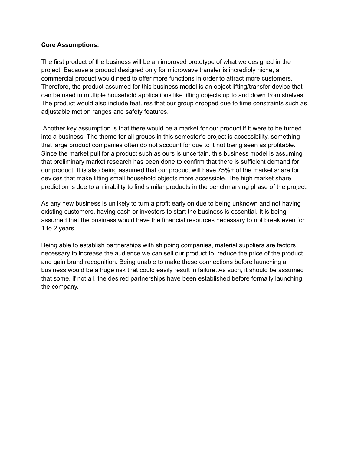## **Core Assumptions:**

The first product of the business will be an improved prototype of what we designed in the project. Because a product designed only for microwave transfer is incredibly niche, a commercial product would need to offer more functions in order to attract more customers. Therefore, the product assumed for this business model is an object lifting/transfer device that can be used in multiple household applications like lifting objects up to and down from shelves. The product would also include features that our group dropped due to time constraints such as adjustable motion ranges and safety features.

Another key assumption is that there would be a market for our product if it were to be turned into a business. The theme for all groups in this semester's project is accessibility, something that large product companies often do not account for due to it not being seen as profitable. Since the market pull for a product such as ours is uncertain, this business model is assuming that preliminary market research has been done to confirm that there is sufficient demand for our product. It is also being assumed that our product will have 75%+ of the market share for devices that make lifting small household objects more accessible. The high market share prediction is due to an inability to find similar products in the benchmarking phase of the project.

As any new business is unlikely to turn a profit early on due to being unknown and not having existing customers, having cash or investors to start the business is essential. It is being assumed that the business would have the financial resources necessary to not break even for 1 to 2 years.

Being able to establish partnerships with shipping companies, material suppliers are factors necessary to increase the audience we can sell our product to, reduce the price of the product and gain brand recognition. Being unable to make these connections before launching a business would be a huge risk that could easily result in failure. As such, it should be assumed that some, if not all, the desired partnerships have been established before formally launching the company.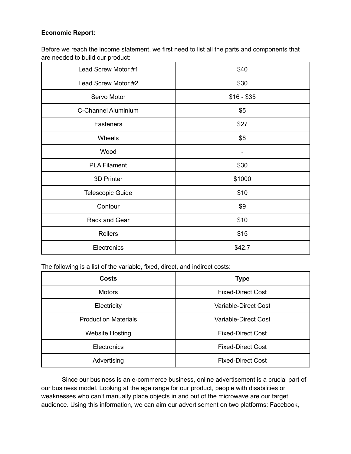# **Economic Report:**

Before we reach the income statement, we first need to list all the parts and components that are needed to build our product:

| Lead Screw Motor #1 | \$40        |
|---------------------|-------------|
| Lead Screw Motor #2 | \$30        |
| Servo Motor         | $$16 - $35$ |
| C-Channel Aluminium | \$5         |
| Fasteners           | \$27        |
| Wheels              | \$8         |
| Wood                |             |
| <b>PLA Filament</b> | \$30        |
| 3D Printer          | \$1000      |
| Telescopic Guide    | \$10        |
| Contour             | \$9         |
| Rack and Gear       | \$10        |
| Rollers             | \$15        |
| Electronics         | \$42.7      |

The following is a list of the variable, fixed, direct, and indirect costs:

| <b>Costs</b>                | <b>Type</b>              |
|-----------------------------|--------------------------|
| <b>Motors</b>               | <b>Fixed-Direct Cost</b> |
| Electricity                 | Variable-Direct Cost     |
| <b>Production Materials</b> | Variable-Direct Cost     |
| <b>Website Hosting</b>      | <b>Fixed-Direct Cost</b> |
| <b>Electronics</b>          | <b>Fixed-Direct Cost</b> |
| Advertising                 | <b>Fixed-Direct Cost</b> |

Since our business is an e-commerce business, online advertisement is a crucial part of our business model. Looking at the age range for our product, people with disabilities or weaknesses who can't manually place objects in and out of the microwave are our target audience. Using this information, we can aim our advertisement on two platforms: Facebook,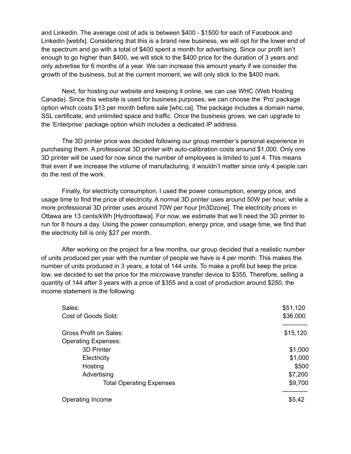and Linkedin. The average cost of ads is between \$400 - \$1500 for each of Facebook and Linkedin [webfx]. Considering that this is a brand new business, we will opt for the lower end of the spectrum and go with a total of \$400 spent a month for advertising. Since our profit isn't enough to go higher than \$400, we will stick to the \$400 price for the duration of 3 years and only advertise for 6 months of a year. We can increase this amount yearly if we consider the growth of the business, but at the current moment, we will only stick to the \$400 mark.

Next, for hosting our website and keeping it online, we can use WHC (Web Hosting Canada). Since this website is used for business purposes, we can choose the 'Pro' package option which costs \$13 per month before sale [whc.ca]. The package includes a domain name, SSL certificate, and unlimited space and traffic. Once the business grows, we can upgrade to the 'Enterprise' package option which includes a dedicated IP address.

The 3D printer price was decided following our group member's personal experience in purchasing them. A professional 3D printer with auto-calibration costs around \$1,000. Only one 3D printer will be used for now since the number of employees is limited to just 4. This means that even if we increase the volume of manufacturing, it wouldn't matter since only 4 people can do the rest of the work.

Finally, for electricity consumption, I used the power consumption, energy price, and usage time to find the price of electricity. A normal 3D printer uses around 50W per hour, while a more professional 3D printer uses around 70W per hour [m3Dzone]. The electricity prices in Ottawa are 13 cents/kWh [Hydroottawa]. For now, we estimate that we'll need the 3D printer to run for 8 hours a day. Using the power consumption, energy price, and usage time, we find that the electricity bill is only \$27 per month.

After working on the project for a few months, our group decided that a realistic number of units produced per year with the number of people we have is 4 per month. This makes the number of units produced in 3 years, a total of 144 units. To make a profit but keep the price low, we decided to set the price for the microwave transfer device to \$355. Therefore, selling a quantity of 144 after 3 years with a price of \$355 and a cost of production around \$250, the income statement is the following:

| Sales:                          | \$51,120 |
|---------------------------------|----------|
| Cost of Goods Sold:             | \$36,000 |
| <b>Gross Profit on Sales:</b>   | \$15,120 |
| <b>Operating Expenses:</b>      |          |
| 3D Printer                      | \$1,000  |
| Electricity                     | \$1,000  |
| Hosting                         | \$500    |
| Advertising                     | \$7,200  |
| <b>Total Operating Expenses</b> | \$9,700  |
|                                 |          |
| Operating Income                | \$5,42   |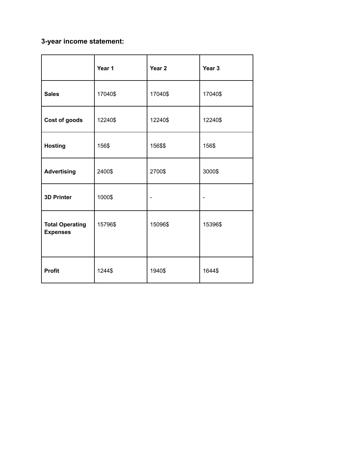# **3-year income statement:**

|                                           | Year 1  | Year <sub>2</sub>        | Year 3  |
|-------------------------------------------|---------|--------------------------|---------|
| <b>Sales</b>                              | 17040\$ | 17040\$                  | 17040\$ |
| Cost of goods                             | 12240\$ | 12240\$                  | 12240\$ |
| <b>Hosting</b>                            | 156\$   | 156\$\$                  | 156\$   |
| <b>Advertising</b>                        | 2400\$  | 2700\$                   | 3000\$  |
| <b>3D Printer</b>                         | 1000\$  | $\overline{\phantom{a}}$ |         |
| <b>Total Operating</b><br><b>Expenses</b> | 15796\$ | 15096\$                  | 15396\$ |
| <b>Profit</b>                             | 1244\$  | 1940\$                   | 1644\$  |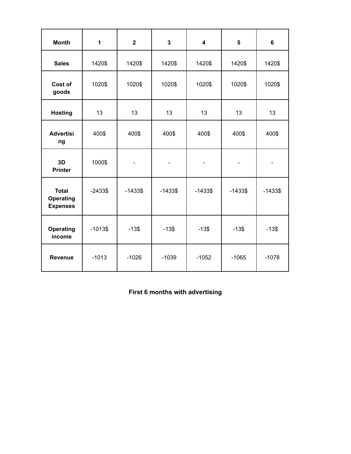| <b>Month</b>                                        | 1          | $\overline{\mathbf{2}}$ | $\overline{\mathbf{3}}$ | 4                            | 5                        | 6          |
|-----------------------------------------------------|------------|-------------------------|-------------------------|------------------------------|--------------------------|------------|
| <b>Sales</b>                                        | 1420\$     | 1420\$                  | 1420\$                  | 1420\$                       | 1420\$                   | 1420\$     |
| Cost of<br>goods                                    | 1020\$     | 1020\$                  | 1020\$                  | 1020\$                       | 1020\$                   | 1020\$     |
| <b>Hosting</b>                                      | 13         | 13                      | 13                      | 13                           | 13                       | 13         |
| <b>Advertisi</b><br>ng                              | 400\$      | 400\$                   | 400\$                   | 400\$                        | 400\$                    | 400\$      |
| 3D<br><b>Printer</b>                                | 1000\$     |                         | -                       | $\qquad \qquad \blacksquare$ | $\overline{\phantom{a}}$ |            |
| <b>Total</b><br><b>Operating</b><br><b>Expenses</b> | $-2433$ \$ | $-1433$ \$              | $-1433$ \$              | $-1433$ \$                   | $-1433$ \$               | $-1433$ \$ |
| <b>Operating</b><br>income                          | $-1013$$   | $-13$$                  | $-13$$                  | $-13$$                       | $-13$$                   | $-13$$     |
| <b>Revenue</b>                                      | $-1013$    | $-1026$                 | $-1039$                 | $-1052$                      | $-1065$                  | $-1078$    |

**First 6 months with advertising**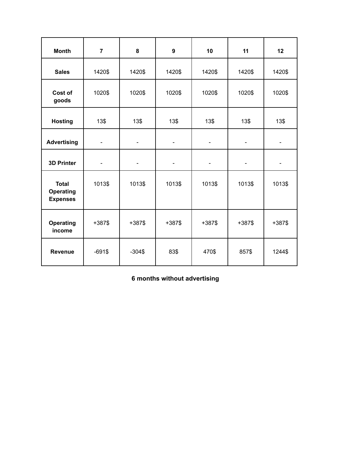| <b>Month</b>                                        | $\overline{7}$           | 8                        | 9                        | 10                           | 11                           | 12                       |
|-----------------------------------------------------|--------------------------|--------------------------|--------------------------|------------------------------|------------------------------|--------------------------|
| <b>Sales</b>                                        | 1420\$                   | 1420\$                   | 1420\$                   | 1420\$                       | 1420\$                       | 1420\$                   |
| Cost of<br>goods                                    | 1020\$                   | 1020\$                   | 1020\$                   | 1020\$                       | 1020\$                       | 1020\$                   |
| <b>Hosting</b>                                      | 13\$                     | 13\$                     | 13\$                     | 13\$                         | 13\$                         | 13\$                     |
| <b>Advertising</b>                                  | $\overline{\phantom{a}}$ | $\overline{\phantom{a}}$ | $\overline{\phantom{a}}$ | $\overline{\phantom{a}}$     | $\blacksquare$               | $\blacksquare$           |
| <b>3D Printer</b>                                   | $\overline{\phantom{a}}$ | $\overline{\phantom{a}}$ | $\overline{\phantom{a}}$ | $\qquad \qquad \blacksquare$ | $\qquad \qquad \blacksquare$ | $\overline{\phantom{a}}$ |
| <b>Total</b><br><b>Operating</b><br><b>Expenses</b> | 1013\$                   | 1013\$                   | 1013\$                   | 1013\$                       | 1013\$                       | 1013\$                   |
| <b>Operating</b><br>income                          | $+387$$                  | $+387$$                  | $+387$$                  | $+387$$                      | $+387$ \$                    | $+387$$                  |
| Revenue                                             | $-691$$                  | $-304$$                  | 83\$                     | 470\$                        | 857\$                        | 1244\$                   |

**6 months without advertising**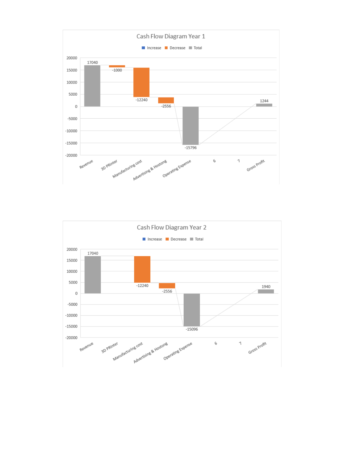

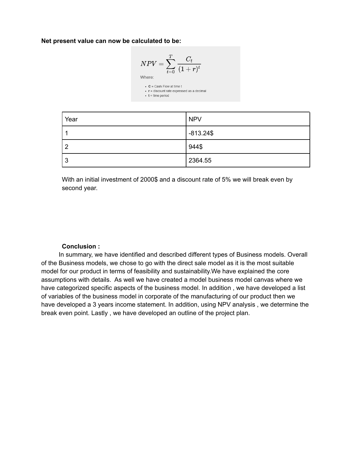**Net present value can now be calculated to be:**

$$
NPV = \sum_{t=0}^{T} \frac{C_t}{(1+r)^t}
$$
  
Where:

 $\bullet$  **C** = Cash Flow at time t  $\bullet$  **t** = time period

| Year | <b>NPV</b>   |
|------|--------------|
|      | $-813.24$ \$ |
| ົ    | 944\$        |
| -3   | 2364.55      |

With an initial investment of 2000\$ and a discount rate of 5% we will break even by second year.

## **Conclusion :**

In summary, we have identified and described different types of Business models. Overall of the Business models, we chose to go with the direct sale model as it is the most suitable model for our product in terms of feasibility and sustainability.We have explained the core assumptions with details. As well we have created a model business model canvas where we have categorized specific aspects of the business model. In addition , we have developed a list of variables of the business model in corporate of the manufacturing of our product then we have developed a 3 years income statement. In addition, using NPV analysis , we determine the break even point. Lastly , we have developed an outline of the project plan.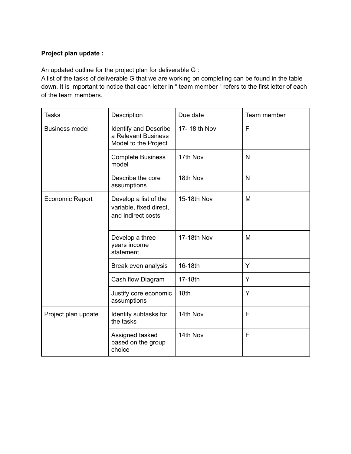# **Project plan update :**

An updated outline for the project plan for deliverable G :

A list of the tasks of deliverable G that we are working on completing can be found in the table down. It is important to notice that each letter in " team member " refers to the first letter of each of the team members.

| <b>Tasks</b>           | Description                                                                 | Due date     | Team member |
|------------------------|-----------------------------------------------------------------------------|--------------|-------------|
| <b>Business model</b>  | <b>Identify and Describe</b><br>a Relevant Business<br>Model to the Project | 17-18 th Nov | F           |
|                        | <b>Complete Business</b><br>model                                           | 17th Nov     | N           |
|                        | Describe the core<br>assumptions                                            | 18th Nov     | N           |
| <b>Economic Report</b> | Develop a list of the<br>variable, fixed direct,<br>and indirect costs      | 15-18th Nov  | M           |
|                        | Develop a three<br>years income<br>statement                                | 17-18th Nov  | M           |
|                        | Break even analysis                                                         | 16-18th      | Y           |
|                        | Cash flow Diagram                                                           | 17-18th      | Y           |
|                        | Justify core economic<br>assumptions                                        | 18th         | Y           |
| Project plan update    | Identify subtasks for<br>the tasks                                          | 14th Nov     | F           |
|                        | Assigned tasked<br>based on the group<br>choice                             | 14th Nov     | F           |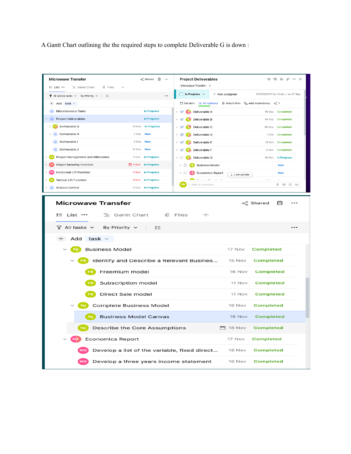A Gantt Chart outlining the the required steps to complete Deliverable G is down :

| <b>Microwave Transfer</b>                                                                           | ∞ Shared 目 …                       | <b>Project Deliverables</b>                     |                 | ☆ 22 シ タ … ×                                                               |
|-----------------------------------------------------------------------------------------------------|------------------------------------|-------------------------------------------------|-----------------|----------------------------------------------------------------------------|
| $\equiv$ List $\cdots$<br>들 Gantt Chart<br>0 Files                                                  | $^{+}$                             | Microwave Transfer +                            |                 |                                                                            |
| $\blacktriangledown$ All active tasks $\blacktriangledown$ By Priority $\blacktriangledown$<br>  ∛≣ | $\ddotsc$                          | $\Box$ In Progress $\lor$                       | + Add assignee  | #763452757 by Noah J. on 27 Sep                                            |
| $+$ Add task $\sim$                                                                                 |                                    | in Set date bg 10 subtasks                      |                 | $\emptyset$ Attach files $\quad \Box_{\Box}$ Add dependency $\alpha_0^0$ 7 |
| +* Miscellaneous Tasks                                                                              | <b>In Progress</b>                 | > S Deliverable A                               |                 | 16 Sep Completed                                                           |
| <b>Project Deliverables</b>                                                                         | <b>In Progress</b>                 | > S' C Deliverable B                            |                 | 24 Sep Completed                                                           |
| > F Deliverable G                                                                                   | 18 Nov<br><b>In Progress</b>       | > G Deliverable C                               |                 | 30 Sep Completed                                                           |
| > +2 Deliverable H                                                                                  | 2 Dec<br><b>New</b>                | > S' C Deliverable D                            |                 | 7 Oct Completed                                                            |
| +2 Deliverable I                                                                                    | 5 Dec<br><b>New</b>                | > G Deliverable E                               |                 | 18 Oct Completed                                                           |
| +2 Deliverable J                                                                                    | 16 Dec<br><b>New</b>               | $\triangleright$ $\blacksquare$ Deliverable F   |                 | 4 Nov<br>Completed                                                         |
| <b>FB</b> Project Management and Milestones                                                         | 5 Dec<br><b>In Progress</b>        | $\vee$ $\Box$ Deliverable G                     |                 | <b>In Progress</b><br>18 Nov                                               |
| <b>TE</b> Object Securing Function                                                                  | $\Box$ 4 Nov<br><b>In Progress</b> | $\triangleright$ $\Box$ <b>E</b> Business Model |                 | <b>New</b>                                                                 |
| <b>IS</b> Horizontal Lift Function                                                                  | 4 Nov<br><b>In Progress</b>        | $\triangleright$ $\Box$ $\Box$ Economics Report | $L$ Last update | <b>New</b>                                                                 |
| N Vertical Lift Function                                                                            | 4 Nov<br><b>In Progress</b>        | $\sim$<br>.<br><b>FB</b><br>Add a comment       |                 | $\cdots$<br>$\mathbf{r}$ .<br>$0 \t\t\t@$ $\odot$ Aa                       |
| +2 Arduino Control                                                                                  | 6 Dec In Progress                  |                                                 |                 |                                                                            |
| <b>Microwave Transfer</b><br>: List …                                                               | 물 Gantt Chart<br>ιO                | Files<br>$^+$                                   | ∞ Shared        | ΡΠ                                                                         |
|                                                                                                     |                                    |                                                 |                 |                                                                            |
| By Priority $\sim$<br>$\nabla$ All tasks $\sim$                                                     | ξΞ                                 |                                                 |                 |                                                                            |
| $+$ Add task $\sim$                                                                                 |                                    |                                                 |                 |                                                                            |
| <b>Business Model</b>                                                                               |                                    |                                                 | 17 Nov          | <b>Completed</b>                                                           |
|                                                                                                     |                                    | Identify and Describe a Relevant Busines        | 15 Nov          | <b>Completed</b>                                                           |
| <b>FB</b>                                                                                           | Freemium model                     |                                                 | 16 Nov          | <b>Completed</b>                                                           |
|                                                                                                     | Subscription model                 |                                                 | 11 Nov          | <b>Completed</b>                                                           |
|                                                                                                     | Direct Sale model                  |                                                 | 11 Nov          | <b>Completed</b>                                                           |
|                                                                                                     | Complete Business Model            |                                                 | 16 Nov          | <b>Completed</b>                                                           |
|                                                                                                     | <b>Business Model Canvas</b>       |                                                 | 18 Nov          | <b>Completed</b>                                                           |
|                                                                                                     | Describe the Core Assumptions      |                                                 | $\Box$ 18 Nov   | <b>Completed</b>                                                           |
| <b>Economics Report</b>                                                                             |                                    |                                                 | 17 Nov          | <b>Completed</b>                                                           |
|                                                                                                     |                                    | Develop a list of the variable, fixed direct    | 18 Nov          | <b>Completed</b>                                                           |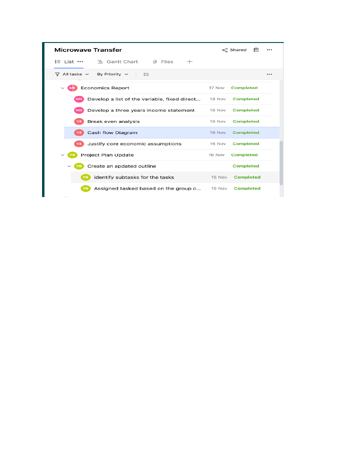| <b>Microwave Transfer</b>                              |        | β∃<br>∞ Shared   |  |
|--------------------------------------------------------|--------|------------------|--|
| : List …<br>品 Gantt Chart<br><b>0 Files</b><br>$^{+}$  |        |                  |  |
| $\nabla$ All tasks $\sim$<br>By Priority $\sim$<br>≍≋≡ |        |                  |  |
| <b>Economics Report</b><br>$\checkmark$                | 17 Nov | <b>Completed</b> |  |
| Develop a list of the variable, fixed direct<br>MS     | 18 Nov | <b>Completed</b> |  |
| Develop a three years income statement                 | 16 Nov | <b>Completed</b> |  |
| Break even analysis                                    | 16 Nov | <b>Completed</b> |  |
| Cash flow Diagram                                      | 16 Nov | <b>Completed</b> |  |
| Justify core economic assumptions                      | 16 Nov | <b>Completed</b> |  |
| Project Plan Update<br>$\check{ }$                     | 18 Nov | <b>Completed</b> |  |
| Create an apdated outline<br>$\check{ }$               |        | <b>Completed</b> |  |
| identify subtasks for the tasks                        | 15 Nov | <b>Completed</b> |  |
| Assigned tasked based on the group c                   | 15 Nov | <b>Completed</b> |  |